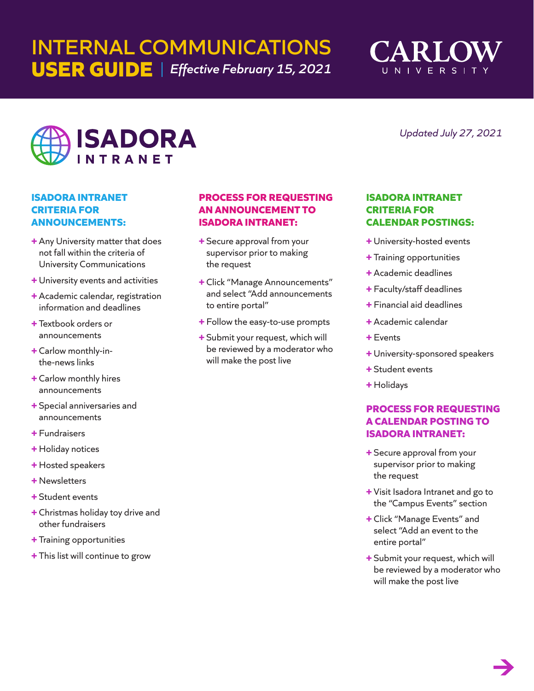# **INTERNAL COMMUNICATIONS USER GUIDE** *Effective February 15, 2021*



*Updated July 27, 2021*



## **ISADORA INTRANET CRITERIA FOR ANNOUNCEMENTS:**

- **+** Any University matter that does not fall within the criteria of University Communications
- **+** University events and activities
- **+** Academic calendar, registration information and deadlines
- **+** Textbook orders or announcements
- **+** Carlow monthly-inthe-news links
- **+** Carlow monthly hires announcements
- **+** Special anniversaries and announcements
- **+** Fundraisers
- **+** Holiday notices
- **+** Hosted speakers
- **+** Newsletters
- **+** Student events
- **+** Christmas holiday toy drive and other fundraisers
- **+** Training opportunities
- **+** This list will continue to grow

## **PROCESS FOR REQUESTING AN ANNOUNCEMENT TO ISADORA INTRANET:**

- **+** Secure approval from your supervisor prior to making the request
- **+** Click "Manage Announcements" and select "Add announcements to entire portal"
- **+** Follow the easy-to-use prompts
- **+** Submit your request, which will be reviewed by a moderator who will make the post live

## **ISADORA INTRANET CRITERIA FOR CALENDAR POSTINGS:**

- **+** University-hosted events
- **+** Training opportunities
- **+** Academic deadlines
- **+** Faculty/staff deadlines
- **+** Financial aid deadlines
- **+** Academic calendar
- **+** Events
- **+** University-sponsored speakers
- **+** Student events
- **+** Holidays

# **PROCESS FOR REQUESTING A CALENDAR POSTING TO ISADORA INTRANET:**

- **+** Secure approval from your supervisor prior to making the request
- **+** Visit Isadora Intranet and go to the "Campus Events" section
- **+** Click "Manage Events" and select "Add an event to the entire portal"
- **+** Submit your request, which will be reviewed by a moderator who will make the post live